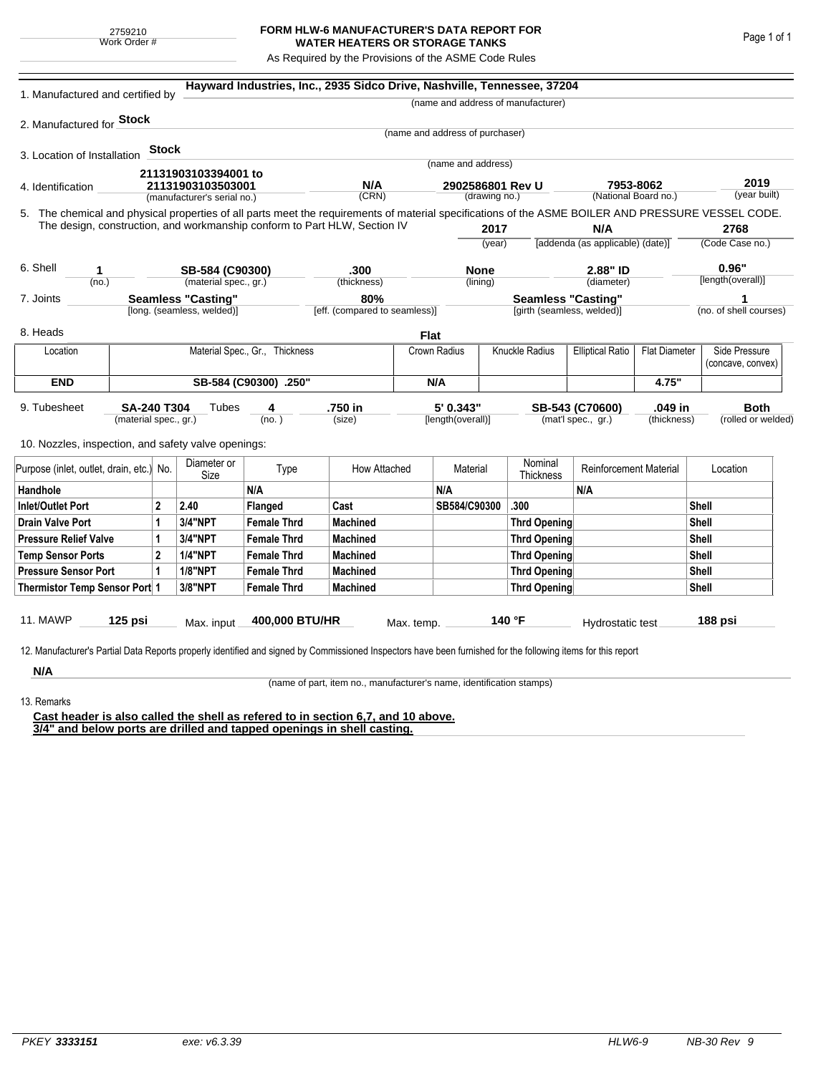## **FORM HLW-6 MANUFACTURER'S DATA REPORT FOR WATER HEATERS OR STORAGE TANKS**

As Required by the Provisions of the ASME Code Rules

| 1. Manufactured and certified by                                                                                                                                                                                                                                                   |                                                  |       |                       |                               | Hayward Industries, Inc., 2935 Sidco Drive, Nashville, Tennessee, 37204 |             |                                   |        |                                    |                                                 |                        |          |                                    |  |
|------------------------------------------------------------------------------------------------------------------------------------------------------------------------------------------------------------------------------------------------------------------------------------|--------------------------------------------------|-------|-----------------------|-------------------------------|-------------------------------------------------------------------------|-------------|-----------------------------------|--------|------------------------------------|-------------------------------------------------|------------------------|----------|------------------------------------|--|
|                                                                                                                                                                                                                                                                                    |                                                  |       |                       |                               |                                                                         |             |                                   |        | (name and address of manufacturer) |                                                 |                        |          |                                    |  |
| 2. Manufactured for Stock                                                                                                                                                                                                                                                          |                                                  |       |                       |                               |                                                                         |             |                                   |        |                                    |                                                 |                        |          |                                    |  |
|                                                                                                                                                                                                                                                                                    |                                                  |       |                       |                               |                                                                         |             | (name and address of purchaser)   |        |                                    |                                                 |                        |          |                                    |  |
| 3. Location of Installation                                                                                                                                                                                                                                                        |                                                  | Stock |                       |                               |                                                                         |             |                                   |        |                                    |                                                 |                        |          |                                    |  |
|                                                                                                                                                                                                                                                                                    |                                                  |       | 21131903103394001 to  |                               |                                                                         |             | (name and address)                |        |                                    |                                                 |                        |          |                                    |  |
| 4. Identification                                                                                                                                                                                                                                                                  | 21131903103503001<br>(manufacturer's serial no.) |       |                       |                               | N/A<br>(CRN)                                                            |             | 2902586801 Rev U<br>(drawing no.) |        |                                    | 7953-8062<br>(National Board no.)               |                        |          | 2019<br>(year built)               |  |
|                                                                                                                                                                                                                                                                                    |                                                  |       |                       |                               |                                                                         |             |                                   |        |                                    |                                                 |                        |          |                                    |  |
| 5. The chemical and physical properties of all parts meet the requirements of material specifications of the ASME BOILER AND PRESSURE VESSEL CODE.<br>The design, construction, and workmanship conform to Part HLW, Section IV<br>2017<br>N/A                                     |                                                  |       |                       |                               |                                                                         |             |                                   |        | 2768                               |                                                 |                        |          |                                    |  |
|                                                                                                                                                                                                                                                                                    |                                                  |       |                       |                               |                                                                         |             |                                   | (year) |                                    | [addenda (as applicable) (date)]                |                        |          | (Code Case no.)                    |  |
| 6. Shell<br>1                                                                                                                                                                                                                                                                      |                                                  |       | SB-584 (C90300)       |                               | .300                                                                    |             | <b>None</b>                       |        | 2.88" ID                           |                                                 |                        | 0.96"    |                                    |  |
| (no.)                                                                                                                                                                                                                                                                              |                                                  |       | (material spec., gr.) |                               | (thickness)                                                             |             | (lining)                          |        | (diameter)                         |                                                 | [length(overall)]      |          |                                    |  |
| <b>Seamless "Casting"</b><br>7. Joints                                                                                                                                                                                                                                             |                                                  |       |                       |                               | 80%                                                                     |             |                                   |        | <b>Seamless "Casting"</b>          |                                                 |                        | 1        |                                    |  |
| [long. (seamless, welded)]                                                                                                                                                                                                                                                         |                                                  |       |                       | [eff. (compared to seamless)] | [girth (seamless, welded)]                                              |             |                                   |        |                                    |                                                 | (no. of shell courses) |          |                                    |  |
| 8. Heads                                                                                                                                                                                                                                                                           |                                                  |       |                       |                               |                                                                         | <b>Flat</b> |                                   |        |                                    |                                                 |                        |          |                                    |  |
| Location                                                                                                                                                                                                                                                                           | Material Spec., Gr., Thickness                   |       |                       |                               |                                                                         |             | Crown Radius                      |        | Knuckle Radius                     | <b>Elliptical Ratio</b><br><b>Flat Diameter</b> |                        |          | Side Pressure<br>(concave, convex) |  |
| <b>END</b>                                                                                                                                                                                                                                                                         | SB-584 (C90300) .250"                            |       |                       |                               |                                                                         |             | N/A                               |        |                                    |                                                 | 4.75"                  |          |                                    |  |
| 5' 0.343"<br>.750 in<br>.049 in<br><b>Both</b><br>9. Tubesheet<br><b>SA-240 T304</b><br>Tubes<br>SB-543 (C70600)<br>4<br>(mat'l spec., gr.)<br>(material spec., gr.)<br>(no.)<br>(size)<br>[length(overall)]<br>(thickness)<br>10. Nozzles, inspection, and safety valve openings: |                                                  |       |                       |                               |                                                                         |             |                                   |        |                                    | (rolled or welded)                              |                        |          |                                    |  |
| Purpose (inlet, outlet, drain, etc.) No.                                                                                                                                                                                                                                           |                                                  |       | Diameter or<br>Size   | Type                          | How Attached                                                            |             | Material                          |        | Nominal<br>Thickness               | <b>Reinforcement Material</b>                   |                        | Location |                                    |  |
| Handhole                                                                                                                                                                                                                                                                           |                                                  |       |                       | N/A                           |                                                                         |             | N/A                               |        |                                    | N/A                                             |                        |          |                                    |  |
| $\mathbf{2}$<br>Inlet/Outlet Port                                                                                                                                                                                                                                                  |                                                  |       | 2.40                  | Flanged                       | Cast                                                                    |             | SB584/C90300                      |        | .300                               |                                                 |                        | Shell    |                                    |  |
| Drain Valve Port<br>1                                                                                                                                                                                                                                                              |                                                  |       | <b>3/4"NPT</b>        | <b>Female Thrd</b>            | <b>Machined</b>                                                         |             |                                   |        | Thrd Opening                       |                                                 |                        | Shell    |                                    |  |
| <b>Pressure Relief Valve</b><br>1                                                                                                                                                                                                                                                  |                                                  |       | 3/4"NPT               | <b>Female Thrd</b>            | <b>Machined</b>                                                         |             |                                   |        | Thrd Opening                       |                                                 |                        | Shell    |                                    |  |
| $\overline{2}$<br><b>Temp Sensor Ports</b>                                                                                                                                                                                                                                         |                                                  |       | <b>1/4"NPT</b>        | <b>Female Thrd</b>            | <b>Machined</b>                                                         |             |                                   |        | Thrd Opening                       |                                                 |                        | Shell    |                                    |  |
| <b>Pressure Sensor Port</b><br>1                                                                                                                                                                                                                                                   |                                                  |       | <b>1/8"NPT</b>        | <b>Female Thrd</b>            | <b>Machined</b>                                                         |             |                                   |        | Thrd Opening                       |                                                 | Shell                  |          |                                    |  |
| Thermistor Temp Sensor Port 1                                                                                                                                                                                                                                                      |                                                  |       | 3/8"NPT               | <b>Female Thrd</b>            | <b>Machined</b>                                                         |             |                                   |        | Thrd Opening                       |                                                 |                        | Shell    |                                    |  |
| 11. MAWP<br>12. Manufacturer's Partial Data Reports properly identified and signed by Commissioned Inspectors have been furnished for the following items for this report                                                                                                          | $125$ psi                                        |       | Max. input            | 400,000 BTU/HR                |                                                                         | Max. temp.  |                                   |        | 140 °F                             | Hydrostatic test                                |                        |          | 188 psi                            |  |
| N/A                                                                                                                                                                                                                                                                                |                                                  |       |                       |                               |                                                                         |             |                                   |        |                                    |                                                 |                        |          |                                    |  |

(name of part, item no., manufacturer's name, identification stamps)

13. Remarks

**Cast header is also called the shell as refered to in section 6,7, and 10 above. 3/4" and below ports are drilled and tapped openings in shell casting.**